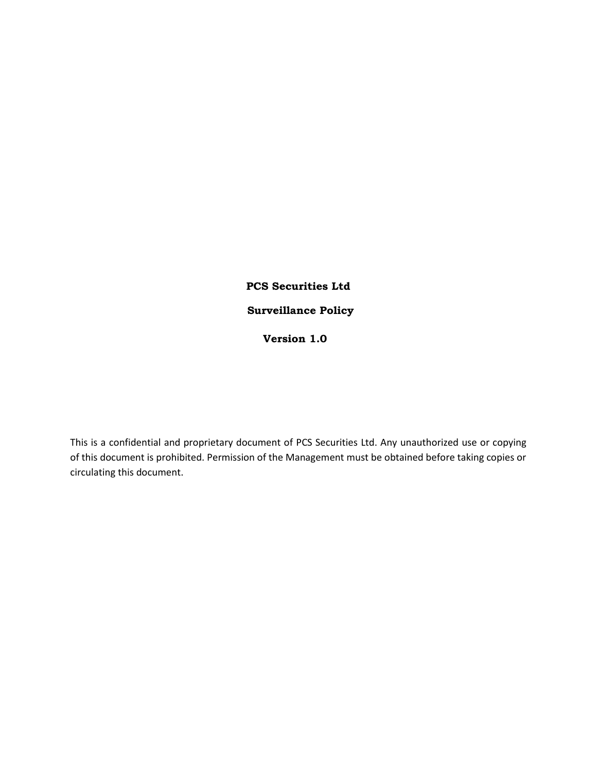## **PCS Securities Ltd Surveillance Policy Version 1.0**

This is a confidential and proprietary document of PCS Securities Ltd. Any unauthorized use or copying of this document is prohibited. Permission of the Management must be obtained before taking copies or circulating this document.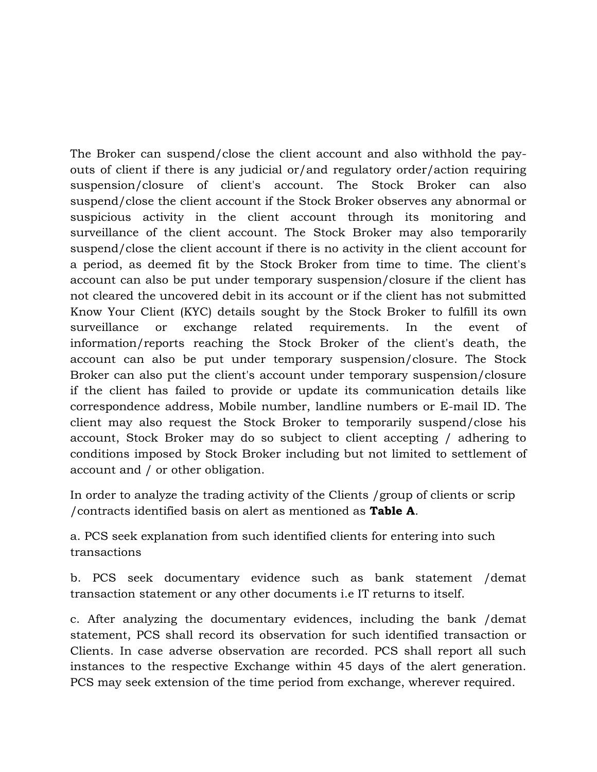The Broker can suspend/close the client account and also withhold the payouts of client if there is any judicial or/and regulatory order/action requiring suspension/closure of client's account. The Stock Broker can also suspend/close the client account if the Stock Broker observes any abnormal or suspicious activity in the client account through its monitoring and surveillance of the client account. The Stock Broker may also temporarily suspend/close the client account if there is no activity in the client account for a period, as deemed fit by the Stock Broker from time to time. The client's account can also be put under temporary suspension/closure if the client has not cleared the uncovered debit in its account or if the client has not submitted Know Your Client (KYC) details sought by the Stock Broker to fulfill its own surveillance or exchange related requirements. In the event of information/reports reaching the Stock Broker of the client's death, the account can also be put under temporary suspension/closure. The Stock Broker can also put the client's account under temporary suspension/closure if the client has failed to provide or update its communication details like correspondence address, Mobile number, landline numbers or E-mail ID. The client may also request the Stock Broker to temporarily suspend/close his account, Stock Broker may do so subject to client accepting / adhering to conditions imposed by Stock Broker including but not limited to settlement of account and / or other obligation.

In order to analyze the trading activity of the Clients /group of clients or scrip /contracts identified basis on alert as mentioned as **Table A**.

a. PCS seek explanation from such identified clients for entering into such transactions

b. PCS seek documentary evidence such as bank statement /demat transaction statement or any other documents i.e IT returns to itself.

c. After analyzing the documentary evidences, including the bank /demat statement, PCS shall record its observation for such identified transaction or Clients. In case adverse observation are recorded. PCS shall report all such instances to the respective Exchange within 45 days of the alert generation. PCS may seek extension of the time period from exchange, wherever required.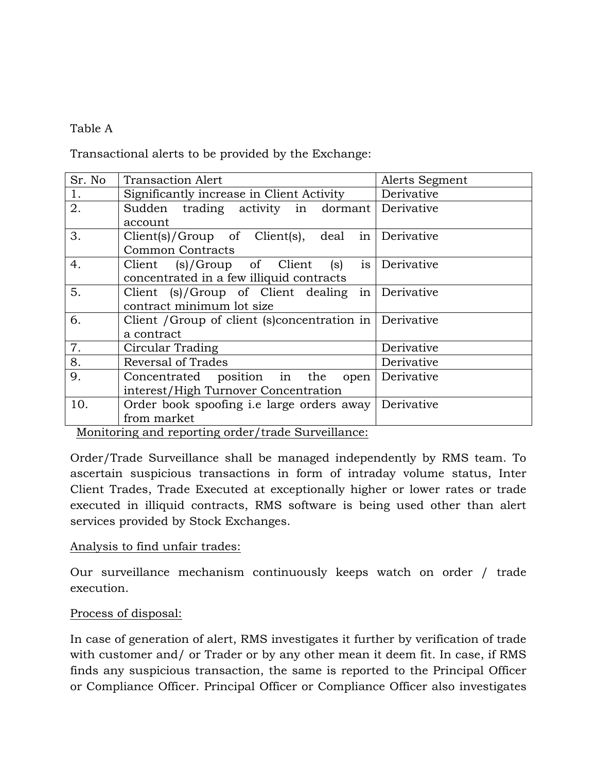## Table A

Transactional alerts to be provided by the Exchange:

Monitoring and reporting order/trade Surveillance:

Order/Trade Surveillance shall be managed independently by RMS team. To ascertain suspicious transactions in form of intraday volume status, Inter Client Trades, Trade Executed at exceptionally higher or lower rates or trade executed in illiquid contracts, RMS software is being used other than alert services provided by Stock Exchanges.

## Analysis to find unfair trades:

Our surveillance mechanism continuously keeps watch on order / trade execution.

## Process of disposal:

In case of generation of alert, RMS investigates it further by verification of trade with customer and/ or Trader or by any other mean it deem fit. In case, if RMS finds any suspicious transaction, the same is reported to the Principal Officer or Compliance Officer. Principal Officer or Compliance Officer also investigates